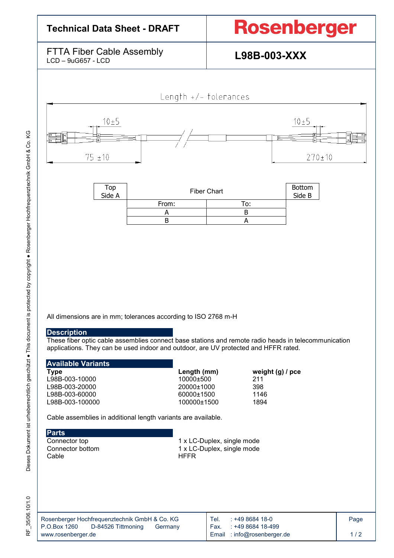| <b>Technical Data Sheet - DRAFT</b>                      |                         | <b>Rosenberger</b> |                            |  |  |  |
|----------------------------------------------------------|-------------------------|--------------------|----------------------------|--|--|--|
| <b>FTTA Fiber Cable Assembly</b><br>$LCD - 9uG657 - LCD$ |                         | L98B-003-XXX       |                            |  |  |  |
| $10 \pm 5$<br>$75 \pm 10$                                | Length $+/-$ tolerances |                    | $10 \pm 5$<br>$270 \pm 10$ |  |  |  |
| Top<br>Side A                                            | <b>Fiber Chart</b>      |                    | <b>Bottom</b><br>Side B    |  |  |  |
|                                                          | From:<br>A              | To:<br>B           |                            |  |  |  |
|                                                          | B                       | A                  |                            |  |  |  |

All dimensions are in mm; tolerances according to ISO 2768 m-H

## **Description**

These fiber optic cable assemblies connect base stations and remote radio heads in telecommunication applications. They can be used indoor and outdoor, are UV protected and HFFR rated.

|  | <b>Available Variants</b> |
|--|---------------------------|
|  |                           |

L98B-003-10000 10000±500 10000±500 211<br>L98B-003-20000 20000±1000 20000±1000 398 L98B-003-20000 20000±1000 398 L98B-003-60000 60000±1500 60000±1500 1146<br>L98B-003-100000 100000±1500 100000±1500 1894 L98B-003-100000

**Type Length (mm)** weight (g) / pce L98B-003-10000 **mm** and the L98B-003-10000 mm and the 10000±500 mm and the L98B-003-10000 mm and the L98B-003-10000 mm and the L98B-003-10000 mm and the L98B-003-10000 mm and the L98B-00

Cable assemblies in additional length variants are available.

**Parts**<br>Connector top

Connector top 1 x LC-Duplex, single mode<br>
Connector bottom 1 x LC-Duplex, single mode Connector bottom 1 x LC-Duplex, single mode<br>Cable HFFR **HFFR** 

| Rosenberger Hochfrequenztechnik GmbH & Co. KG | $: +49868418-0$<br>Tel.    | Page |
|-----------------------------------------------|----------------------------|------|
| P.O.Box 1260<br>D-84526 Tittmoning<br>Germany | : +49 8684 18-499<br>Fax.  |      |
| www.rosenberger.de                            | Email: info@rosenberger.de | 1/2  |